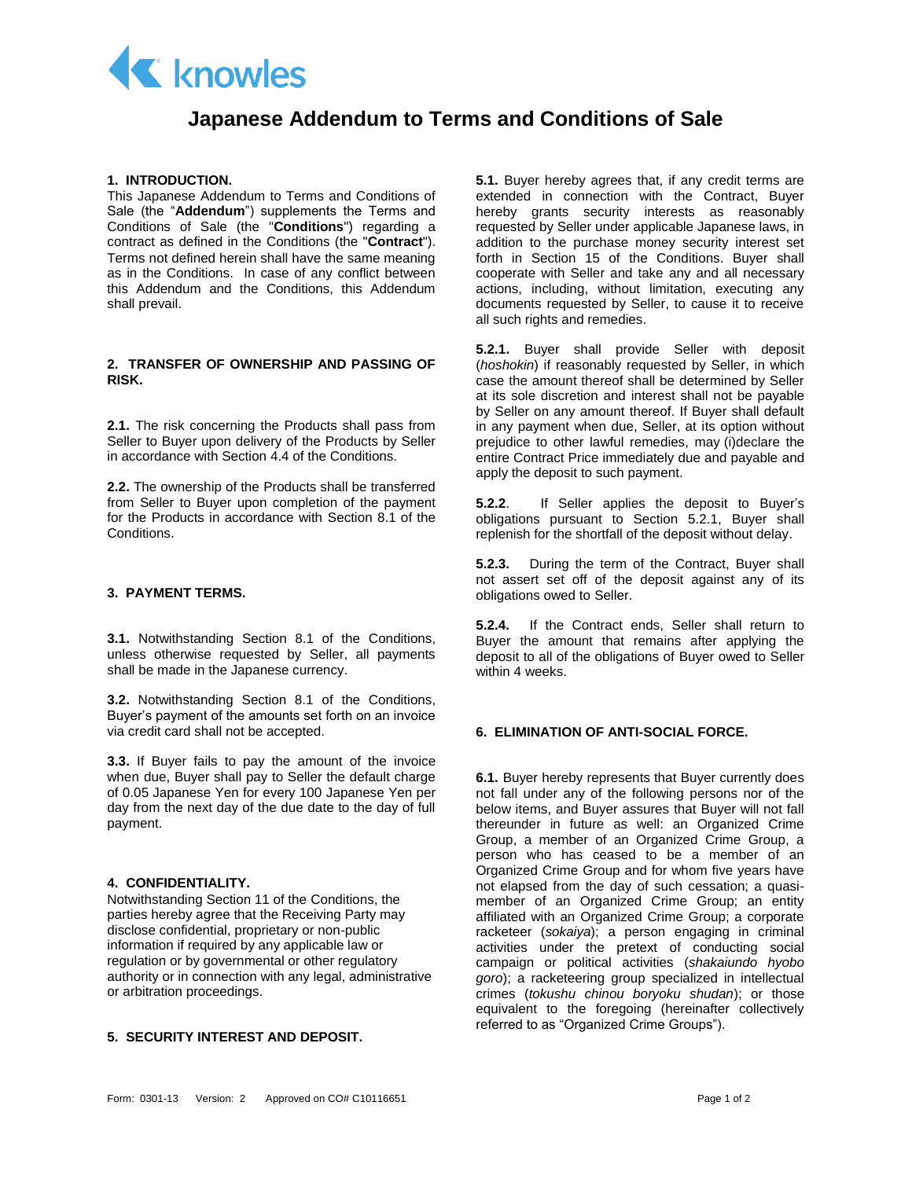

# **Japanese Addendum to Terms and Conditions of Sale**

# **1. INTRODUCTION.**

This Japanese Addendum to Terms and Conditions of Sale (the "**Addendum**") supplements the Terms and Conditions of Sale (the "**Conditions**") regarding a contract as defined in the Conditions (the "**Contract**"). Terms not defined herein shall have the same meaning as in the Conditions. In case of any conflict between this Addendum and the Conditions, this Addendum shall prevail.

# **2. TRANSFER OF OWNERSHIP AND PASSING OF RISK.**

**2.1.** The risk concerning the Products shall pass from Seller to Buyer upon delivery of the Products by Seller in accordance with Section 4.4 of the Conditions.

**2.2.** The ownership of the Products shall be transferred from Seller to Buyer upon completion of the payment for the Products in accordance with Section 8.1 of the **Conditions** 

#### **3. PAYMENT TERMS.**

**3.1.** Notwithstanding Section 8.1 of the Conditions, unless otherwise requested by Seller, all payments shall be made in the Japanese currency.

**3.2.** Notwithstanding Section 8.1 of the Conditions, Buyer's payment of the amounts set forth on an invoice via credit card shall not be accepted.

**3.3.** If Buyer fails to pay the amount of the invoice when due, Buyer shall pay to Seller the default charge of 0.05 Japanese Yen for every 100 Japanese Yen per day from the next day of the due date to the day of full payment.

#### **4. CONFIDENTIALITY.**

Notwithstanding Section 11 of the Conditions, the parties hereby agree that the Receiving Party may disclose confidential, proprietary or non-public information if required by any applicable law or regulation or by governmental or other regulatory authority or in connection with any legal, administrative or arbitration proceedings.

### **5. SECURITY INTEREST AND DEPOSIT.**

**5.1.** Buyer hereby agrees that, if any credit terms are extended in connection with the Contract, Buyer hereby grants security interests as reasonably requested by Seller under applicable Japanese laws, in addition to the purchase money security interest set forth in Section 15 of the Conditions. Buyer shall cooperate with Seller and take any and all necessary actions, including, without limitation, executing any documents requested by Seller, to cause it to receive all such rights and remedies.

**5.2.1.** Buyer shall provide Seller with deposit (*hoshokin*) if reasonably requested by Seller, in which case the amount thereof shall be determined by Seller at its sole discretion and interest shall not be payable by Seller on any amount thereof. If Buyer shall default in any payment when due, Seller, at its option without prejudice to other lawful remedies, may (i)declare the entire Contract Price immediately due and payable and apply the deposit to such payment.

**5.2.2**. If Seller applies the deposit to Buyer's obligations pursuant to Section 5.2.1, Buyer shall replenish for the shortfall of the deposit without delay.

**5.2.3.** During the term of the Contract, Buyer shall not assert set off of the deposit against any of its obligations owed to Seller.

**5.2.4.** If the Contract ends, Seller shall return to Buyer the amount that remains after applying the deposit to all of the obligations of Buyer owed to Seller within 4 weeks.

# **6. ELIMINATION OF ANTI-SOCIAL FORCE.**

**6.1.** Buyer hereby represents that Buyer currently does not fall under any of the following persons nor of the below items, and Buyer assures that Buyer will not fall thereunder in future as well: an Organized Crime Group, a member of an Organized Crime Group, a person who has ceased to be a member of an Organized Crime Group and for whom five years have not elapsed from the day of such cessation; a quasimember of an Organized Crime Group; an entity affiliated with an Organized Crime Group; a corporate racketeer (*sokaiya*); a person engaging in criminal activities under the pretext of conducting social campaign or political activities (*shakaiundo hyobo goro*); a racketeering group specialized in intellectual crimes (*tokushu chinou boryoku shudan*); or those equivalent to the foregoing (hereinafter collectively referred to as "Organized Crime Groups").